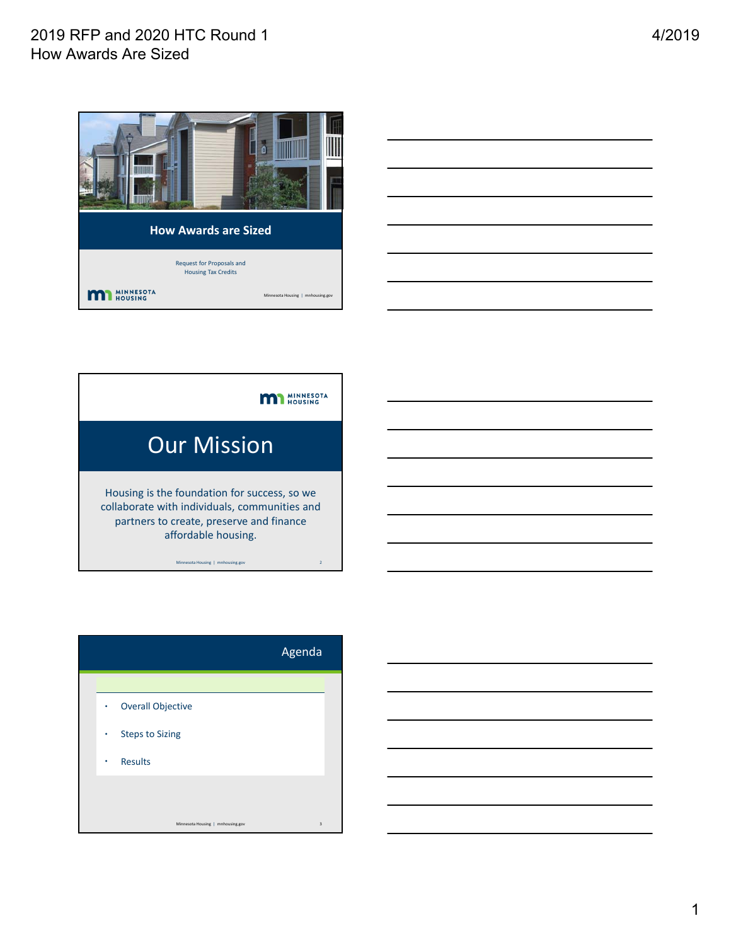# 2019 RFP and 2020 HTC Round 1 How Awards Are Sized



| <b>Our Mission</b>                                                                                                                                               |  |  |
|------------------------------------------------------------------------------------------------------------------------------------------------------------------|--|--|
| Housing is the foundation for success, so we<br>collaborate with individuals, communities and<br>partners to create, preserve and finance<br>affordable housing. |  |  |
| $\overline{2}$<br>Minnesota Housing   mnhousing.gov                                                                                                              |  |  |

|             |                                   | Agenda                  |
|-------------|-----------------------------------|-------------------------|
|             |                                   |                         |
| $\bullet$ . | <b>Overall Objective</b>          |                         |
| $\bullet$ . | <b>Steps to Sizing</b>            |                         |
| ٠           | <b>Results</b>                    |                         |
|             |                                   |                         |
|             |                                   |                         |
|             | Minnesota Housing   mnhousing.gov | $\overline{\mathbf{3}}$ |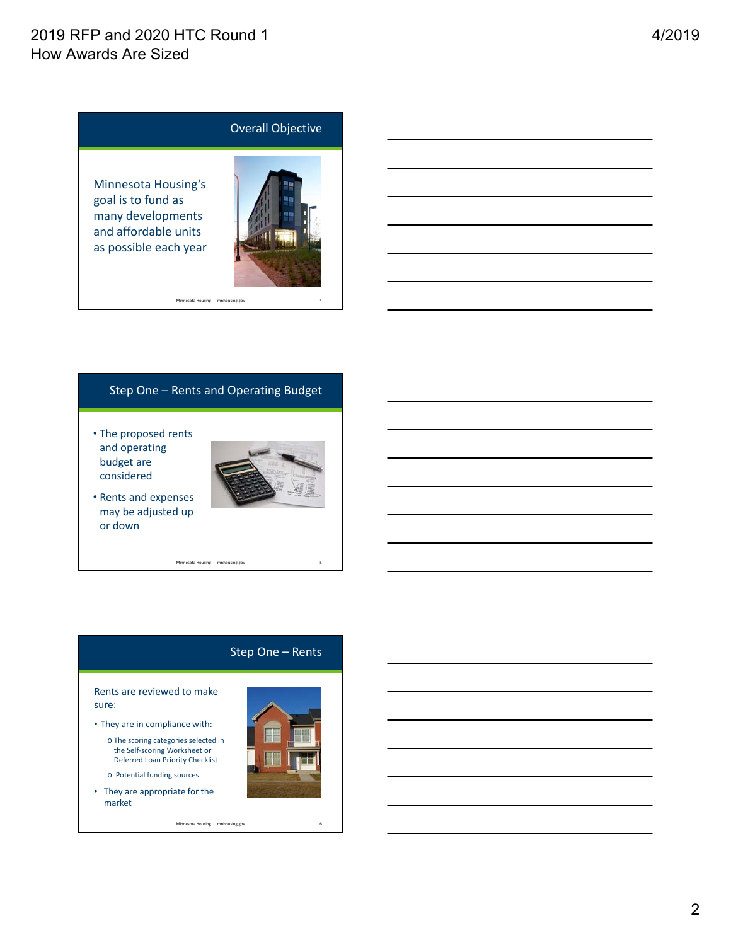# 2019 RFP and 2020 HTC Round 1 How Awards Are Sized



#### Step One – Rents and Operating Budget

• The proposed rents and operating budget are considered



• Rents and expenses may be adjusted up or down

Minnesota Housing | mnhousing.gov 5

### Step One – Rents

#### Rents are reviewed to make sure:

- They are in compliance with:
	- o The scoring categories selected in the Self‐scoring Worksheet or Deferred Loan Priority Checklist
	- o Potential funding sources
- They are appropriate for the market

Minnesota Housing | mnhousing.gov

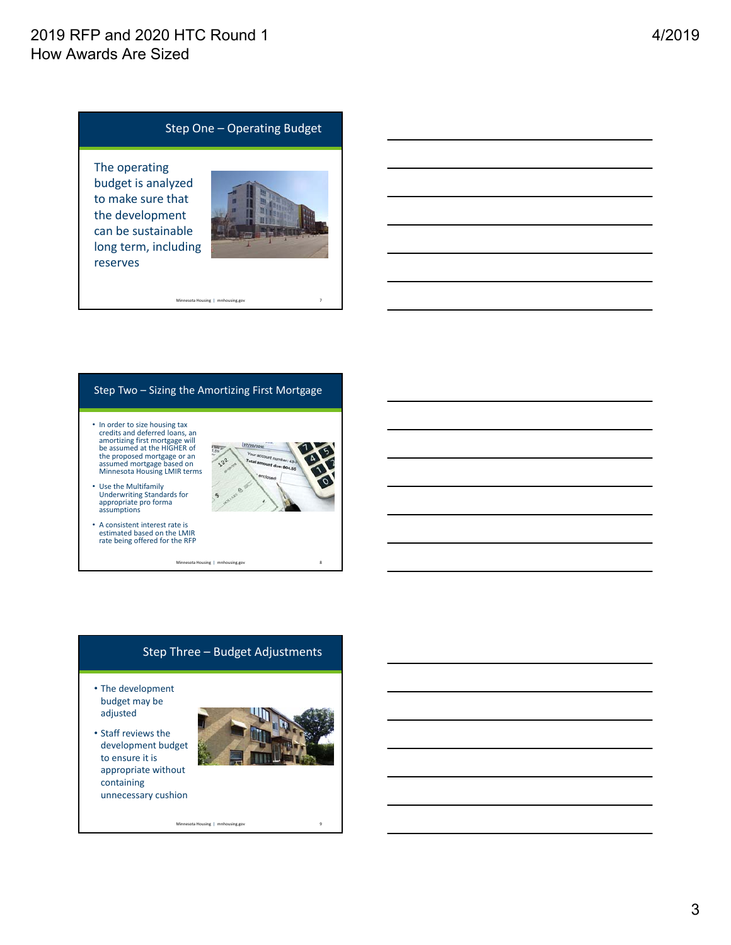## 2019 RFP and 2020 HTC Round 1 How Awards Are Sized

### Step One – Operating Budget

The operating budget is analyzed to make sure that the development can be sustainable long term, including reserves



## Step Two – Sizing the Amortizing First Mortgage

Minnesota Housing | mnhousing.gov 7

• In order to size housing tax credits and deferred loans, an amortizing first mortgage will be assumed at the HIGHER of the proposed mortgage or an assumed mortgage based on Minnesota Housing LMIR terms



- Use the Multifamily Underwriting Standards for appropriate pro forma assumptions
- A consistent interest rate is estimated based on the LMIR rate being offered for the RFP

Minnesota Housing | mnhousing.gov 8

# Step Three – Budget Adjustments

Minnesota Housing | mnhousing.gov

- The development budget may be adjusted
- Staff reviews the development budget to ensure it is appropriate without containing unnecessary cushion

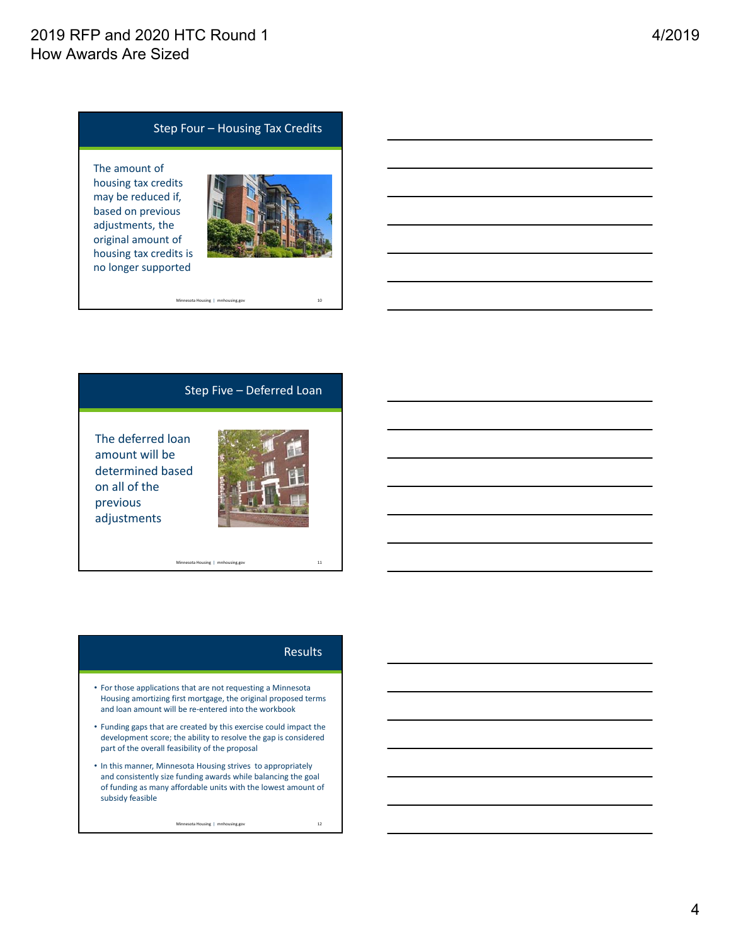## Step Four – Housing Tax Credits

The amount of housing tax credits may be reduced if, based on previous adjustments, the original amount of housing tax credits is no longer supported



#### Step Five – Deferred Loan

Minnesota Housing | mnhousing.gov 10

The deferred loan amount will be determined based on all of the previous adjustments



Minnesota Housing | mnhousing.gov 11

#### **Results**

- For those applications that are not requesting a Minnesota Housing amortizing first mortgage, the original proposed terms and loan amount will be re‐entered into the workbook
- Funding gaps that are created by this exercise could impact the development score; the ability to resolve the gap is considered part of the overall feasibility of the proposal
- In this manner, Minnesota Housing strives to appropriately and consistently size funding awards while balancing the goal of funding as many affordable units with the lowest amount of subsidy feasible

Minnesota Housing | mnhousing.gov 12